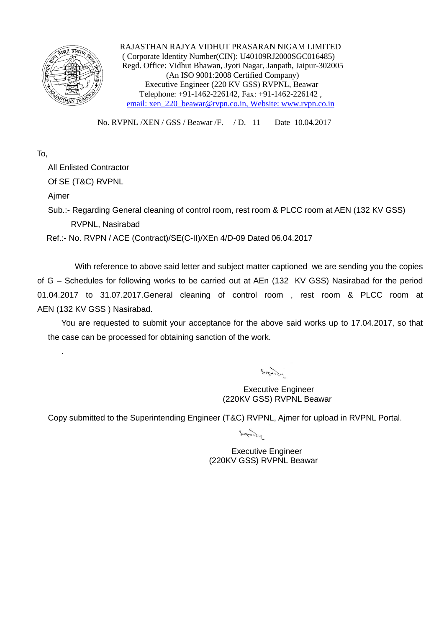

 RAJASTHAN RAJYA VIDHUT PRASARAN NIGAM LIMITED ( Corporate Identity Number(CIN): U40109RJ2000SGC016485) Regd. Office: Vidhut Bhawan, Jyoti Nagar, Janpath, Jaipur-302005 (An ISO 9001:2008 Certified Company) Executive Engineer (220 KV GSS) RVPNL, Beawar Telephone: +91-1462-226142, Fax: +91-1462-226142 , email: xen\_220\_beawar@rvpn.co.in, Website: www.rvpn.co.in

No. RVPNL /XEN / GSS / Beawar /F. / D. 11 Date 10.04.2017

## To,

All Enlisted Contractor

Of SE (T&C) RVPNL

Ajmer

.

Sub.:- Regarding General cleaning of control room, rest room & PLCC room at AEN (132 KV GSS) RVPNL, Nasirabad

Ref.:- No. RVPN / ACE (Contract)/SE(C-II)/XEn 4/D-09 Dated 06.04.2017

With reference to above said letter and subject matter captioned we are sending you the copies of G – Schedules for following works to be carried out at AEn (132 KV GSS) Nasirabad for the period 01.04.2017 to 31.07.2017.General cleaning of control room , rest room & PLCC room at AEN (132 KV GSS ) Nasirabad.

You are requested to submit your acceptance for the above said works up to 17.04.2017, so that the case can be processed for obtaining sanction of the work.

 $\frac{1}{2} \int \frac{1}{\sqrt{1-\frac{1}{2}} \cdot \frac{1}{2}} \, d\mu$ 

 Executive Engineer (220KV GSS) RVPNL Beawar

Copy submitted to the Superintending Engineer (T&C) RVPNL, Ajmer for upload in RVPNL Portal.

 $B_{11}$ 

 Executive Engineer (220KV GSS) RVPNL Beawar